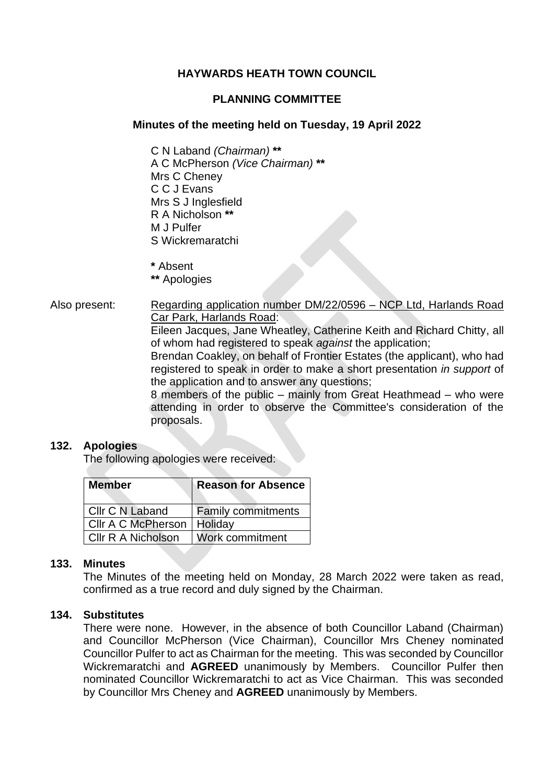# **HAYWARDS HEATH TOWN COUNCIL**

# **PLANNING COMMITTEE**

# **Minutes of the meeting held on Tuesday, 19 April 2022**

C N Laband *(Chairman)* **\*\*** A C McPherson *(Vice Chairman)* **\*\*** Mrs C Cheney C C J Evans Mrs S J Inglesfield R A Nicholson **\*\*** M J Pulfer S Wickremaratchi

**\*** Absent

**\*\*** Apologies

Also present: Regarding application number DM/22/0596 - NCP Ltd, Harlands Road Car Park, Harlands Road:

Eileen Jacques, Jane Wheatley, Catherine Keith and Richard Chitty, all of whom had registered to speak *against* the application;

Brendan Coakley, on behalf of Frontier Estates (the applicant), who had registered to speak in order to make a short presentation *in support* of the application and to answer any questions;

8 members of the public – mainly from Great Heathmead – who were attending in order to observe the Committee's consideration of the proposals.

### **132. Apologies**

The following apologies were received:

| <b>Member</b>      | <b>Reason for Absence</b> |
|--------------------|---------------------------|
| Cllr C N Laband    | <b>Family commitments</b> |
| Cllr A C McPherson | Holiday                   |
| Cllr R A Nicholson | Work commitment           |

# **133. Minutes**

The Minutes of the meeting held on Monday, 28 March 2022 were taken as read, confirmed as a true record and duly signed by the Chairman.

#### **134. Substitutes**

There were none. However, in the absence of both Councillor Laband (Chairman) and Councillor McPherson (Vice Chairman), Councillor Mrs Cheney nominated Councillor Pulfer to act as Chairman for the meeting. This was seconded by Councillor Wickremaratchi and **AGREED** unanimously by Members. Councillor Pulfer then nominated Councillor Wickremaratchi to act as Vice Chairman. This was seconded by Councillor Mrs Cheney and **AGREED** unanimously by Members.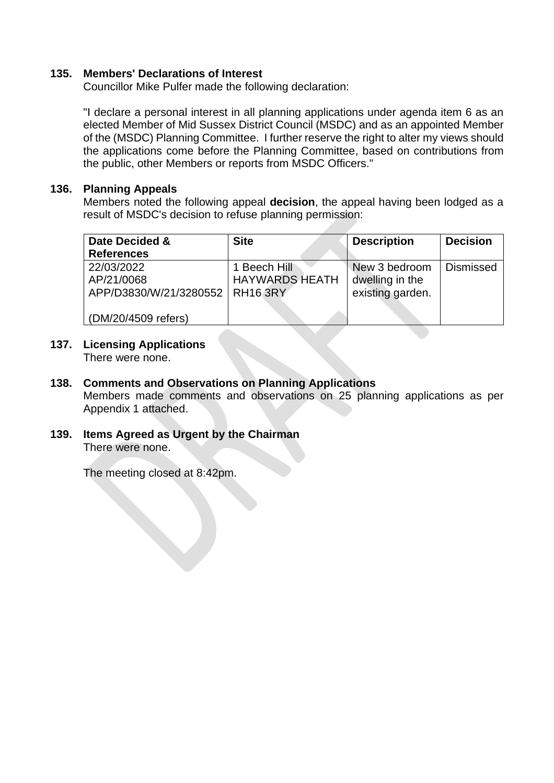# **135. Members' Declarations of Interest**

Councillor Mike Pulfer made the following declaration:

"I declare a personal interest in all planning applications under agenda item 6 as an elected Member of Mid Sussex District Council (MSDC) and as an appointed Member of the (MSDC) Planning Committee. I further reserve the right to alter my views should the applications come before the Planning Committee, based on contributions from the public, other Members or reports from MSDC Officers."

# **136. Planning Appeals**

Members noted the following appeal **decision**, the appeal having been lodged as a result of MSDC's decision to refuse planning permission:

| Date Decided &         | <b>Site</b>           | <b>Description</b> | <b>Decision</b>  |
|------------------------|-----------------------|--------------------|------------------|
| <b>References</b>      |                       |                    |                  |
| 22/03/2022             | 1 Beech Hill          | New 3 bedroom      | <b>Dismissed</b> |
| AP/21/0068             | <b>HAYWARDS HEATH</b> | dwelling in the    |                  |
| APP/D3830/W/21/3280552 | <b>RH16 3RY</b>       | existing garden.   |                  |
|                        |                       |                    |                  |
| (DM/20/4509 refers)    |                       |                    |                  |

# **137. Licensing Applications**

There were none.

- **138. Comments and Observations on Planning Applications** Members made comments and observations on 25 planning applications as per Appendix 1 attached.
- **139. Items Agreed as Urgent by the Chairman** There were none.

The meeting closed at 8:42pm.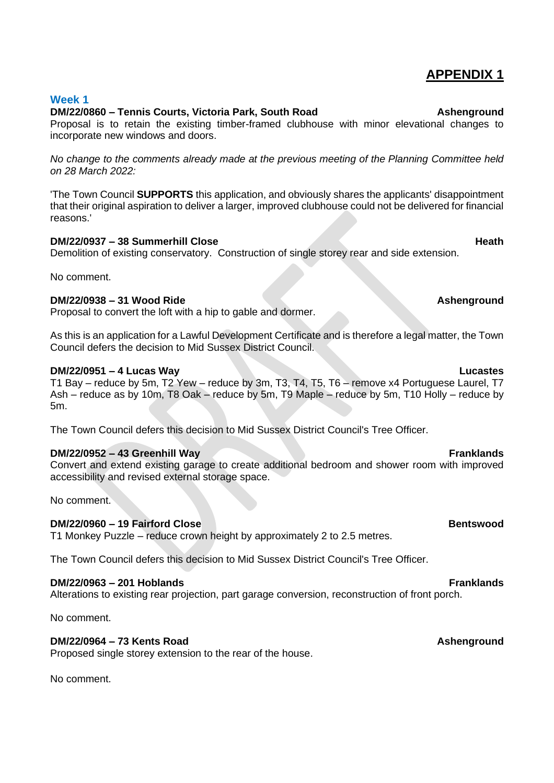# **APPENDIX 1**

# **Week 1**

### **DM/22/0860 – Tennis Courts, Victoria Park, South Road Ashenground**

Proposal is to retain the existing timber-framed clubhouse with minor elevational changes to incorporate new windows and doors.

*No change to the comments already made at the previous meeting of the Planning Committee held on 28 March 2022:*

'The Town Council **SUPPORTS** this application, and obviously shares the applicants' disappointment that their original aspiration to deliver a larger, improved clubhouse could not be delivered for financial reasons.'

### **DM/22/0937 – 38 Summerhill Close Heath**

Demolition of existing conservatory. Construction of single storey rear and side extension.

No comment.

### **DM/22/0938 – 31 Wood Ride Ashenground**

Proposal to convert the loft with a hip to gable and dormer.

As this is an application for a Lawful Development Certificate and is therefore a legal matter, the Town Council defers the decision to Mid Sussex District Council.

### **DM/22/0951 – 4 Lucas Way Lucastes**

T1 Bay – reduce by 5m, T2 Yew – reduce by 3m, T3, T4, T5, T6 – remove x4 Portuguese Laurel, T7 Ash – reduce as by 10m, T8 Oak – reduce by 5m, T9 Maple – reduce by 5m, T10 Holly – reduce by 5m.

The Town Council defers this decision to Mid Sussex District Council's Tree Officer.

### **DM/22/0952 – 43 Greenhill Way Franklands**

Convert and extend existing garage to create additional bedroom and shower room with improved accessibility and revised external storage space.

No comment.

### **DM/22/0960 – 19 Fairford Close Bentswood**

T1 Monkey Puzzle – reduce crown height by approximately 2 to 2.5 metres.

The Town Council defers this decision to Mid Sussex District Council's Tree Officer.

### **DM/22/0963 – 201 Hoblands Franklands**

Alterations to existing rear projection, part garage conversion, reconstruction of front porch.

No comment.

# **DM/22/0964 – 73 Kents Road Ashenground**

Proposed single storey extension to the rear of the house.

No comment.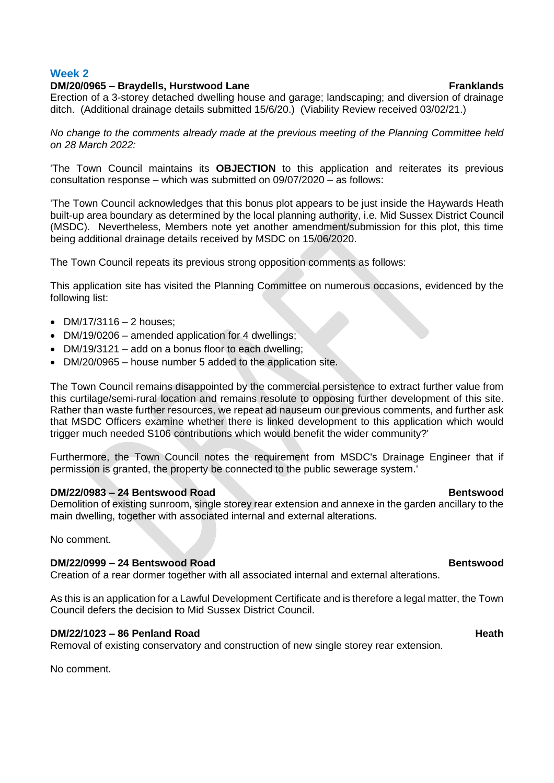#### **Week 2**

#### **DM/20/0965 – Braydells, Hurstwood Lane Franklands**

Erection of a 3-storey detached dwelling house and garage; landscaping; and diversion of drainage ditch. (Additional drainage details submitted 15/6/20.) (Viability Review received 03/02/21.)

*No change to the comments already made at the previous meeting of the Planning Committee held on 28 March 2022:*

'The Town Council maintains its **OBJECTION** to this application and reiterates its previous consultation response – which was submitted on 09/07/2020 – as follows:

'The Town Council acknowledges that this bonus plot appears to be just inside the Haywards Heath built-up area boundary as determined by the local planning authority, i.e. Mid Sussex District Council (MSDC). Nevertheless, Members note yet another amendment/submission for this plot, this time being additional drainage details received by MSDC on 15/06/2020.

The Town Council repeats its previous strong opposition comments as follows:

This application site has visited the Planning Committee on numerous occasions, evidenced by the following list:

- $DM/17/3116 2$  houses:
- DM/19/0206 amended application for 4 dwellings;
- DM/19/3121 add on a bonus floor to each dwelling;
- DM/20/0965 house number 5 added to the application site.

The Town Council remains disappointed by the commercial persistence to extract further value from this curtilage/semi-rural location and remains resolute to opposing further development of this site. Rather than waste further resources, we repeat ad nauseum our previous comments, and further ask that MSDC Officers examine whether there is linked development to this application which would trigger much needed S106 contributions which would benefit the wider community?'

Furthermore, the Town Council notes the requirement from MSDC's Drainage Engineer that if permission is granted, the property be connected to the public sewerage system.'

#### **DM/22/0983 – 24 Bentswood Road Bentswood**

Demolition of existing sunroom, single storey rear extension and annexe in the garden ancillary to the main dwelling, together with associated internal and external alterations.

No comment.

#### **DM/22/0999 – 24 Bentswood Road Bentswood**

Creation of a rear dormer together with all associated internal and external alterations.

As this is an application for a Lawful Development Certificate and is therefore a legal matter, the Town Council defers the decision to Mid Sussex District Council.

#### **DM/22/1023 – 86 Penland Road Heath**

Removal of existing conservatory and construction of new single storey rear extension.

No comment.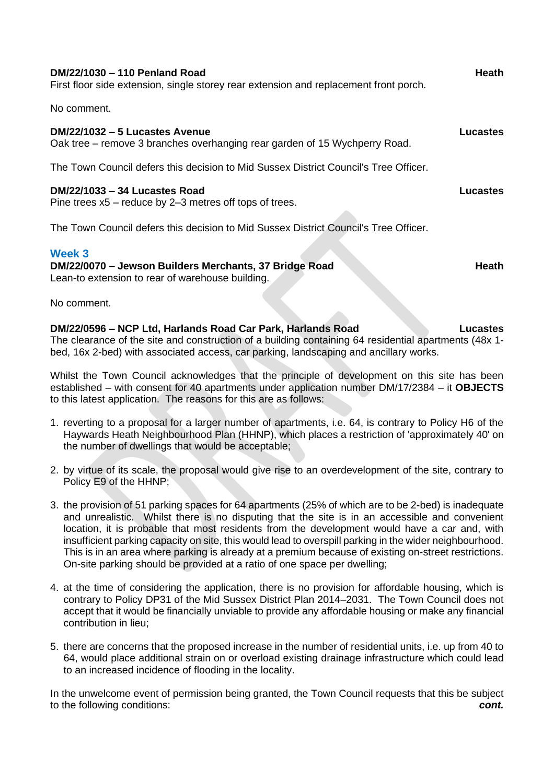| DM/22/1030 - 110 Penland Road<br>First floor side extension, single storey rear extension and replacement front porch.      | <b>Heath</b>    |
|-----------------------------------------------------------------------------------------------------------------------------|-----------------|
| No comment.                                                                                                                 |                 |
| DM/22/1032 - 5 Lucastes Avenue<br>Oak tree – remove 3 branches overhanging rear garden of 15 Wychperry Road.                | <b>Lucastes</b> |
| The Town Council defers this decision to Mid Sussex District Council's Tree Officer.                                        |                 |
| DM/22/1033 - 34 Lucastes Road<br>Pine trees $x5$ – reduce by 2–3 metres off tops of trees.                                  | Lucastes        |
| The Town Council defers this decision to Mid Sussex District Council's Tree Officer.                                        |                 |
| <b>Week 3</b><br>DM/22/0070 - Jewson Builders Merchants, 37 Bridge Road<br>Lean-to extension to rear of warehouse building. | Heath           |

No comment.

**DM/22/0596 – NCP Ltd, Harlands Road Car Park, Harlands Road Lucastes** The clearance of the site and construction of a building containing 64 residential apartments (48x 1 bed, 16x 2-bed) with associated access, car parking, landscaping and ancillary works.

Whilst the Town Council acknowledges that the principle of development on this site has been established – with consent for 40 apartments under application number DM/17/2384 – it **OBJECTS** to this latest application. The reasons for this are as follows:

- 1. reverting to a proposal for a larger number of apartments, i.e. 64, is contrary to Policy H6 of the Haywards Heath Neighbourhood Plan (HHNP), which places a restriction of 'approximately 40' on the number of dwellings that would be acceptable;
- 2. by virtue of its scale, the proposal would give rise to an overdevelopment of the site, contrary to Policy E9 of the HHNP;
- 3. the provision of 51 parking spaces for 64 apartments (25% of which are to be 2-bed) is inadequate and unrealistic. Whilst there is no disputing that the site is in an accessible and convenient location, it is probable that most residents from the development would have a car and, with insufficient parking capacity on site, this would lead to overspill parking in the wider neighbourhood. This is in an area where parking is already at a premium because of existing on-street restrictions. On-site parking should be provided at a ratio of one space per dwelling;
- 4. at the time of considering the application, there is no provision for affordable housing, which is contrary to Policy DP31 of the Mid Sussex District Plan 2014–2031. The Town Council does not accept that it would be financially unviable to provide any affordable housing or make any financial contribution in lieu;
- 5. there are concerns that the proposed increase in the number of residential units, i.e. up from 40 to 64, would place additional strain on or overload existing drainage infrastructure which could lead to an increased incidence of flooding in the locality.

In the unwelcome event of permission being granted, the Town Council requests that this be subject to the following conditions: *cont.*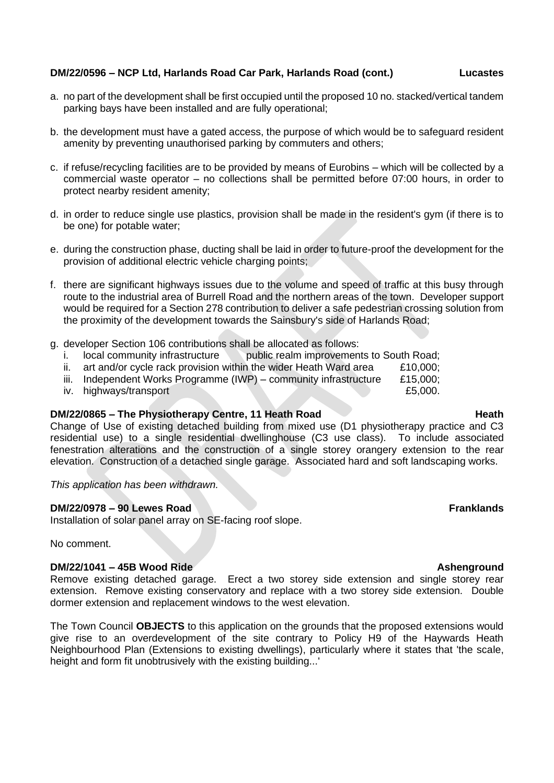#### **DM/22/0596 – NCP Ltd, Harlands Road Car Park, Harlands Road (cont.) Lucastes**

- a. no part of the development shall be first occupied until the proposed 10 no. stacked/vertical tandem parking bays have been installed and are fully operational;
- b. the development must have a gated access, the purpose of which would be to safeguard resident amenity by preventing unauthorised parking by commuters and others;
- c. if refuse/recycling facilities are to be provided by means of Eurobins which will be collected by a commercial waste operator – no collections shall be permitted before 07:00 hours, in order to protect nearby resident amenity;
- d. in order to reduce single use plastics, provision shall be made in the resident's gym (if there is to be one) for potable water;
- e. during the construction phase, ducting shall be laid in order to future-proof the development for the provision of additional electric vehicle charging points;
- f. there are significant highways issues due to the volume and speed of traffic at this busy through route to the industrial area of Burrell Road and the northern areas of the town. Developer support would be required for a Section 278 contribution to deliver a safe pedestrian crossing solution from the proximity of the development towards the Sainsbury's side of Harlands Road;
- g. developer Section 106 contributions shall be allocated as follows:
	- i. local community infrastructure public realm improvements to South Road;
	- ii. art and/or cycle rack provision within the wider Heath Ward area  $£10,000;$
	- iii. Independent Works Programme (IWP) community infrastructure  $£15,000;$
- iv. highways/transport £5,000.

# **DM/22/0865 – The Physiotherapy Centre, 11 Heath Road Heath Heath**

Change of Use of existing detached building from mixed use (D1 physiotherapy practice and C3 residential use) to a single residential dwellinghouse (C3 use class). To include associated fenestration alterations and the construction of a single storey orangery extension to the rear elevation. Construction of a detached single garage. Associated hard and soft landscaping works.

*This application has been withdrawn.*

#### **DM/22/0978 – 90 Lewes Road Franklands**

Installation of solar panel array on SE-facing roof slope.

No comment.

#### **DM/22/1041 – 45B Wood Ride Ashenground**

Remove existing detached garage. Erect a two storey side extension and single storey rear extension. Remove existing conservatory and replace with a two storey side extension. Double dormer extension and replacement windows to the west elevation.

The Town Council **OBJECTS** to this application on the grounds that the proposed extensions would give rise to an overdevelopment of the site contrary to Policy H9 of the Haywards Heath Neighbourhood Plan (Extensions to existing dwellings), particularly where it states that 'the scale, height and form fit unobtrusively with the existing building...'